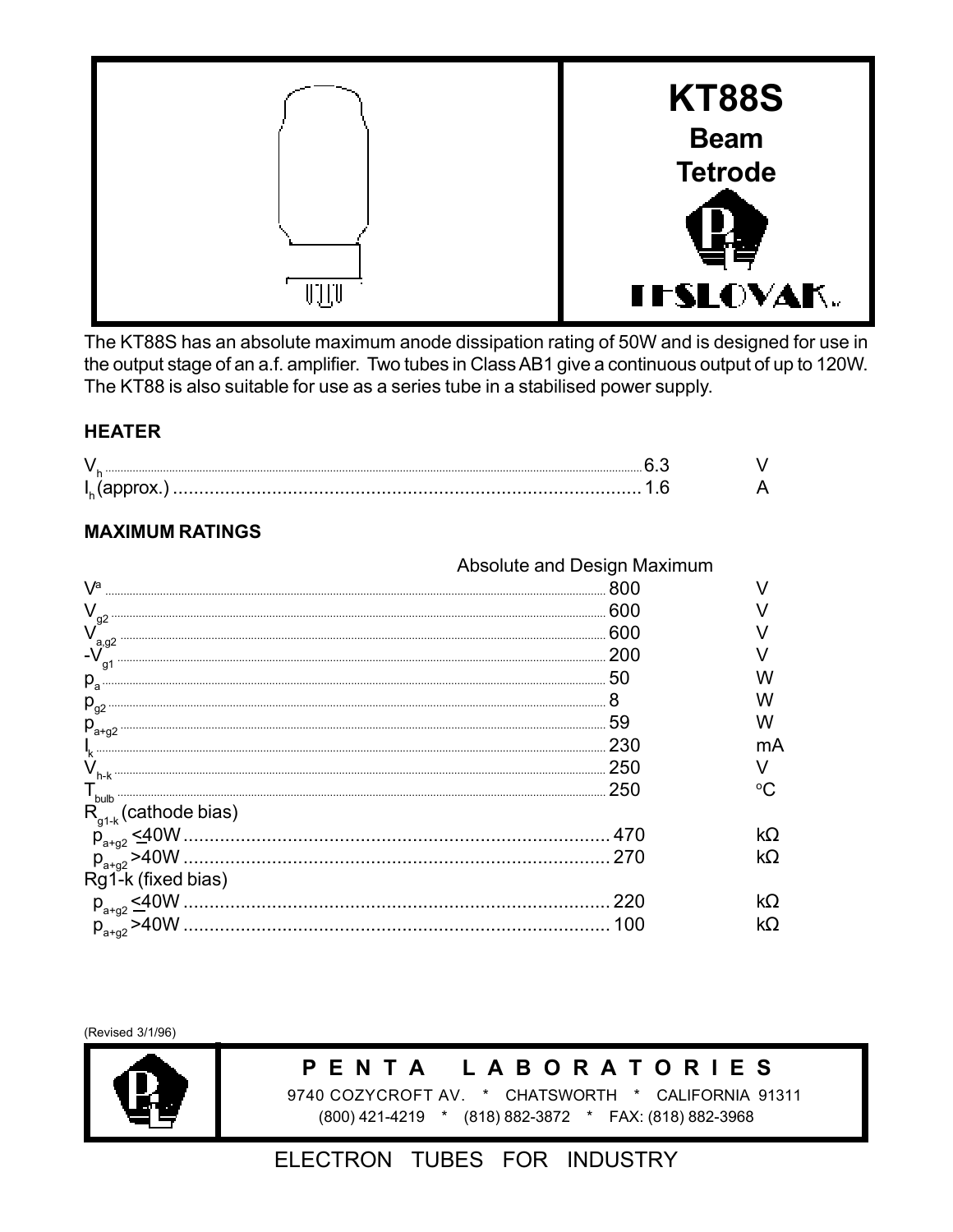

The KT88S has an absolute maximum anode dissipation rating of 50W and is designed for use in the output stage of an a.f. amplifier. Two tubes in Class AB1 give a continuous output of up to 120W. The KT88 is also suitable for use as a series tube in a stabilised power supply.

#### **HEATER**

# **MAXIMUM RATINGS**

|                           | Absolute and Design Maximum |    |
|---------------------------|-----------------------------|----|
| $\sqrt{a}$                | 800                         |    |
| $\rm V_{g2}$              | 600                         |    |
| a, g2                     | .600                        |    |
| $-V$                      | .200                        |    |
| $\rho_{a}$                | -50                         |    |
| $P_{g2}$                  |                             |    |
|                           | 59                          | w  |
|                           | 230                         | mА |
|                           | . 250                       |    |
| $T_{\text{bulb}}$         | . 250                       |    |
| $R_{g1-k}$ (cathode bias) |                             |    |
|                           |                             | kΩ |
|                           | -270                        | kΩ |
| Rg1-k (fixed bias)        |                             |    |
|                           | 220                         |    |
|                           | 100                         | kΩ |

(Revised 3/1/96)



#### **LABORATORIES** PENTA

9740 COZYCROFT AV. \* CHATSWORTH \* CALIFORNIA 91311 (800) 421-4219 \* (818) 882-3872 \* FAX: (818) 882-3968

# ELECTRON TUBES FOR INDUSTRY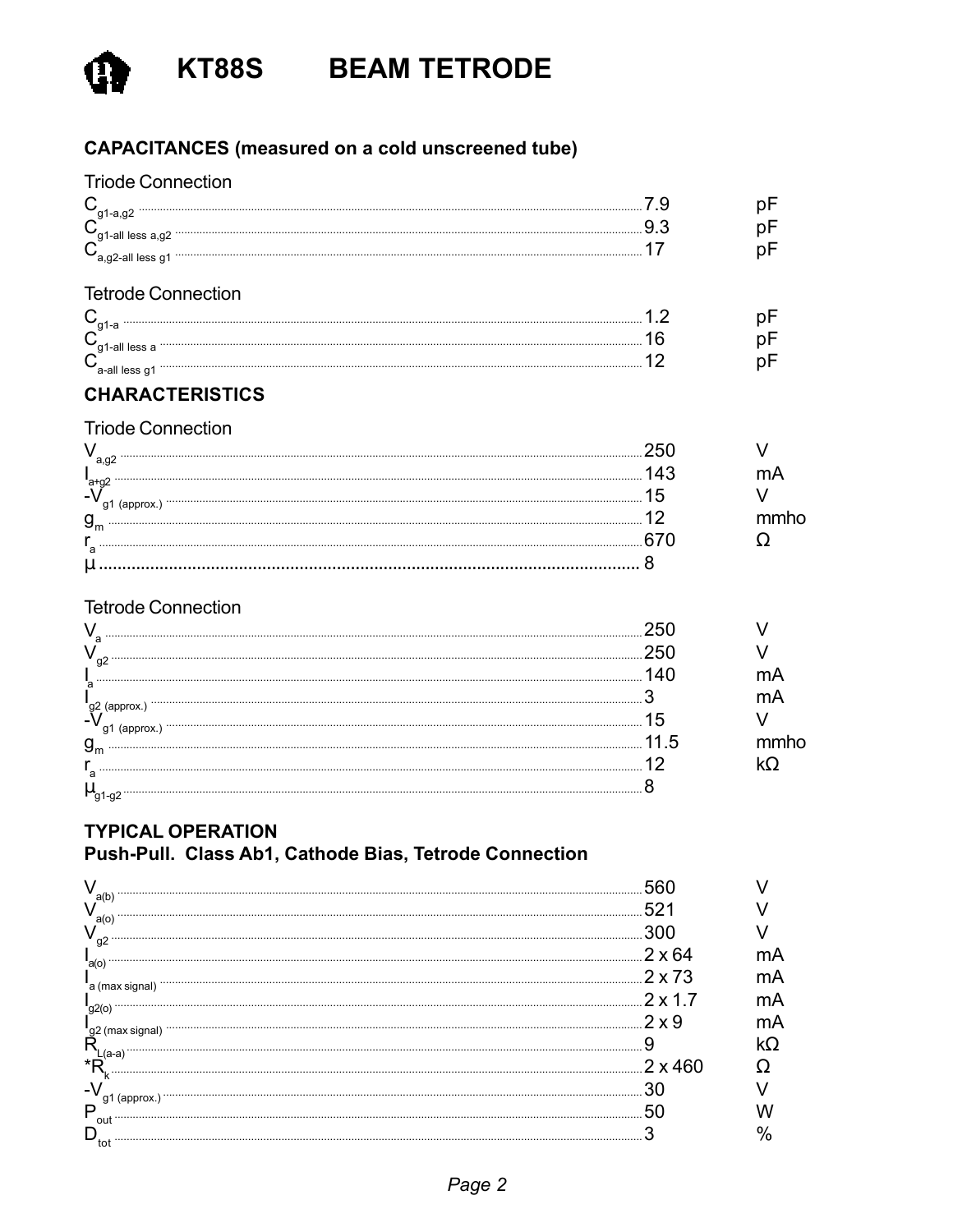

KT88S BEAM TETRODE

# **CAPACITANCES** (measured on a cold unscreened tube)

| <b>Triode Connection</b>   |     |      |
|----------------------------|-----|------|
| $C_{\text{g1-a,g2}}$       | 7.9 | рF   |
|                            | 9.3 | рF   |
| $C_{a,g2$ -all less g1     | 17  | рF   |
|                            |     |      |
| <b>Tetrode Connection</b>  |     |      |
|                            |     | рF   |
|                            | 16  | рF   |
|                            |     | рF   |
|                            |     |      |
| <b>CHARACTERISTICS</b>     |     |      |
| <b>Triode Connection</b>   |     |      |
| $V_{a,g2}$                 | 250 |      |
|                            | 143 | mA   |
| l<br>a+g2                  | 15  |      |
| $g_{\scriptscriptstyle m}$ |     | mmho |
|                            | 670 | Ω    |
|                            |     |      |
|                            |     |      |
| <b>Tetrode Connection</b>  |     |      |

# **TYPICAL OPERATION**

# Push-Pull. Class Ab1, Cathode Bias, Tetrode Connection

| a(b<br>a(o                   |      |    |
|------------------------------|------|----|
|                              |      |    |
|                              |      |    |
| a(o)<br>a (max signal)       | 2x73 | nΑ |
|                              |      | nA |
|                              |      |    |
| 'g2 (max signal)<br><b>D</b> |      |    |
| *R,                          |      |    |
| -7<br>g1 (approx.)           |      |    |
| P<br>out                     |      |    |
| tot                          |      |    |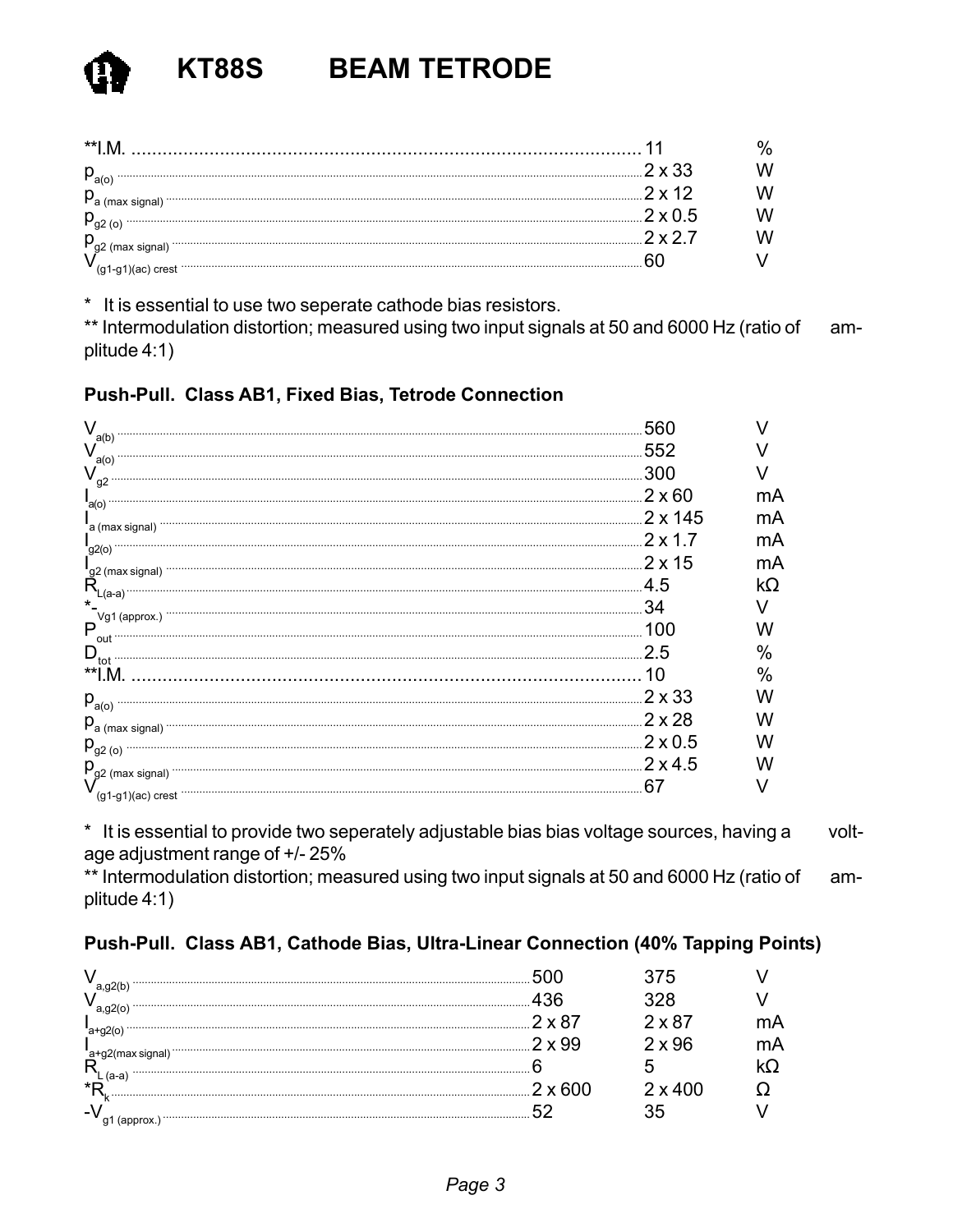| $P_{a(0)}$                                                                                                                                                                                                                                                                                                                                                                                                                          | 2 x 33         |  |
|-------------------------------------------------------------------------------------------------------------------------------------------------------------------------------------------------------------------------------------------------------------------------------------------------------------------------------------------------------------------------------------------------------------------------------------|----------------|--|
| $\begin{minipage}{0.5\textwidth} \centering \begin{tabular}{ c c c c c } \hline \multicolumn{1}{ c }{\textbf{0.5}} & \multicolumn{1}{ c }{\textbf{0.5}} & \multicolumn{1}{ c }{\textbf{0.5}} & \multicolumn{1}{ c }{\textbf{0.5}} & \multicolumn{1}{ c }{\textbf{0.5}} & \multicolumn{1}{ c }{\textbf{0.5}} & \multicolumn{1}{ c }{\textbf{0.5}} & \multicolumn{1}{ c }{\textbf{0.5}} & \multicolumn{1}{ c }{\textbf{0.5}} & \mult$ | つ v 1つ         |  |
|                                                                                                                                                                                                                                                                                                                                                                                                                                     | $2 \times 0.5$ |  |
|                                                                                                                                                                                                                                                                                                                                                                                                                                     | クックフ           |  |
|                                                                                                                                                                                                                                                                                                                                                                                                                                     |                |  |

\* It is essential to use two seperate cathode bias resistors.

\*\* Intermodulation distortion; measured using two input signals at 50 and 6000 Hz (ratio of amplitude 4:1)

## Push-Pull. Class AB1, Fixed Bias, Tetrode Connection

|                                                                                                                                                                                                                                                                                                                                      | 560            |    |
|--------------------------------------------------------------------------------------------------------------------------------------------------------------------------------------------------------------------------------------------------------------------------------------------------------------------------------------|----------------|----|
| a(b)                                                                                                                                                                                                                                                                                                                                 | 552            |    |
| a(o)<br>V<br>g <sub>2</sub>                                                                                                                                                                                                                                                                                                          | .300           |    |
|                                                                                                                                                                                                                                                                                                                                      | $.2 \times 60$ | mA |
| a(o)                                                                                                                                                                                                                                                                                                                                 |                | mA |
| a (max signal)<br><u>2 x 1.7</u>                                                                                                                                                                                                                                                                                                     |                | mA |
| g2(o) ………                                                                                                                                                                                                                                                                                                                            | $.2 \times 15$ | mA |
| $R_{\text{L}}^{(2)}$ (max signal)                                                                                                                                                                                                                                                                                                    | .4.5           | kΩ |
| $(a-a)$<br>*                                                                                                                                                                                                                                                                                                                         | 34             |    |
| Vg1 (approx.)<br>$\mathsf{P}_{\mathsf{out}}$                                                                                                                                                                                                                                                                                         | 100            |    |
| $\mathsf{D}_{_{\mathsf{tot}}}$                                                                                                                                                                                                                                                                                                       | 2.5            | ℅  |
| **I M                                                                                                                                                                                                                                                                                                                                | 10             | %  |
| $p_{a(0)}$                                                                                                                                                                                                                                                                                                                           | $2 \times 33$  |    |
| $P_a$ (max signal) $\cdots$ $\cdots$ $\cdots$ $\cdots$ $\cdots$ $\cdots$ $\cdots$ $\cdots$ $\cdots$ $\cdots$ $\cdots$ $\cdots$ $\cdots$ $\cdots$ $\cdots$ $\cdots$ $\cdots$ $\cdots$ $\cdots$ $\cdots$ $\cdots$ $\cdots$ $\cdots$ $\cdots$ $\cdots$ $\cdots$ $\cdots$ $\cdots$ $\cdots$ $\cdots$ $\cdots$ $\cdots$ $\cdots$ $\cdots$ | $.2 \times 28$ |    |
|                                                                                                                                                                                                                                                                                                                                      |                |    |
| $P_{g2(0)}$<br>$P_{g2 \text{ (max signal)}}$ 2 x 4.5                                                                                                                                                                                                                                                                                 |                |    |
| $(g1-g1)(ac)$ crest                                                                                                                                                                                                                                                                                                                  | 67             |    |

\* It is essential to provide two seperately adjustable bias bias voltage sources, having a voltage adjustment range of +/- 25%

\*\* Intermodulation distortion; measured using two input signals at 50 and 6000 Hz (ratio of amplitude 4:1)

#### Push-Pull. Class AB1, Cathode Bias, Ultra-Linear Connection (40% Tapping Points)

|        |                | 2 x 87         |    |
|--------|----------------|----------------|----|
|        |                | $2 \times 96$  | mА |
| sianal |                |                |    |
| ∗г     | $2 \times 600$ | $2 \times 400$ |    |
|        |                | Ö              |    |
|        |                |                |    |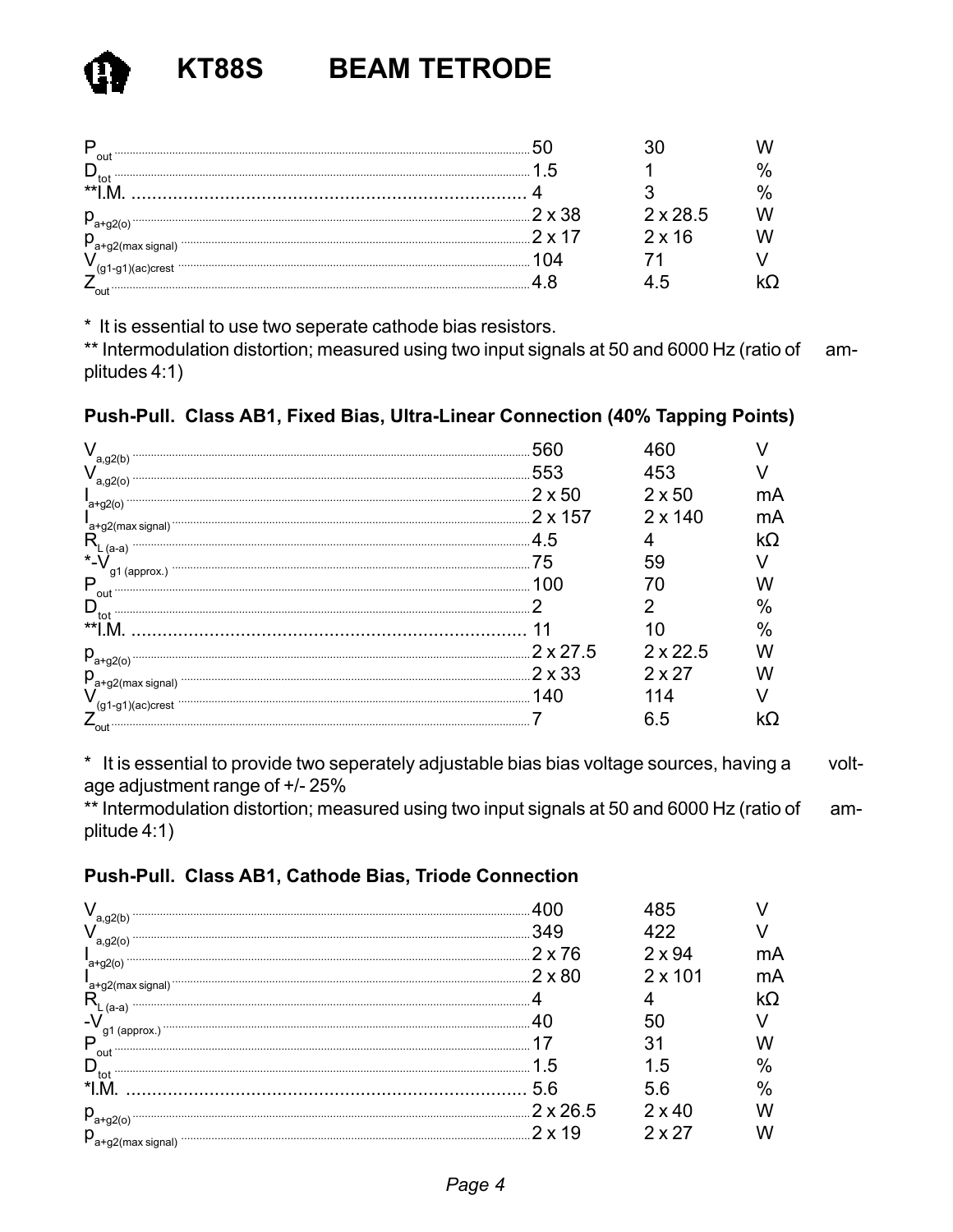| out          | ∽      |                 |  |
|--------------|--------|-----------------|--|
| $\star\star$ |        |                 |  |
|              | つ ヽ つの | $2 \times 28.5$ |  |
|              |        | $2 \times 16$   |  |
|              |        |                 |  |
|              |        |                 |  |
| out          |        |                 |  |

\* It is essential to use two seperate cathode bias resistors.

\*\* Intermodulation distortion; measured using two input signals at 50 and 6000 Hz (ratio of amplitudes 4:1)

# Push-Pull. Class AB1, Fixed Bias, Ultra-Linear Connection (40% Tapping Points)

| a,g2(b)                 | 553              | 453             |    |
|-------------------------|------------------|-----------------|----|
|                         | $2 \times 50$    | $2 \times 50$   | mA |
| $a+g2(0)$               | $.2 \times 157$  | $2 \times 140$  | mA |
| a+g2(max signal)        | 4.5              |                 | Ω) |
| $\star$ _\              | /5               | 59              |    |
| P                       |                  |                 |    |
| out<br>$D_{\text{tot}}$ |                  |                 | 0/ |
|                         |                  |                 |    |
| $p_{a+g2(o)}$ .         | $.2 \times 27.5$ | $2 \times 22.5$ |    |
| $p_{a+g2(max signal)}$  | $.2 \times 33$   | $2 \times 27$   |    |
|                         | 140              |                 |    |
| out                     |                  | 6.5             |    |

\* It is essential to provide two seperately adjustable bias bias voltage sources, having a voltage adjustment range of +/-25%

\*\* Intermodulation distortion; measured using two input signals at 50 and 6000 Hz (ratio of amplitude 4:1)

## Push-Pull. Class AB1, Cathode Bias, Triode Connection

| a,gz(b                                  | 349             |                |     |
|-----------------------------------------|-----------------|----------------|-----|
| $a, g2$ (o)                             | $2 \times 76$   | 2 x 94         |     |
| ˈa+g2(o                                 | 2 x 80          | $2 \times 101$ | 'nΑ |
|                                         |                 |                |     |
|                                         |                 |                |     |
| P                                       |                 |                |     |
| out                                     |                 | 'n             |     |
| tot                                     |                 | h              |     |
|                                         | $2 \times 26.5$ | $2 \times 40$  |     |
| $P_{a+g2(o)}$<br>$p_{a+q2(max signal)}$ |                 | 2x27           |     |